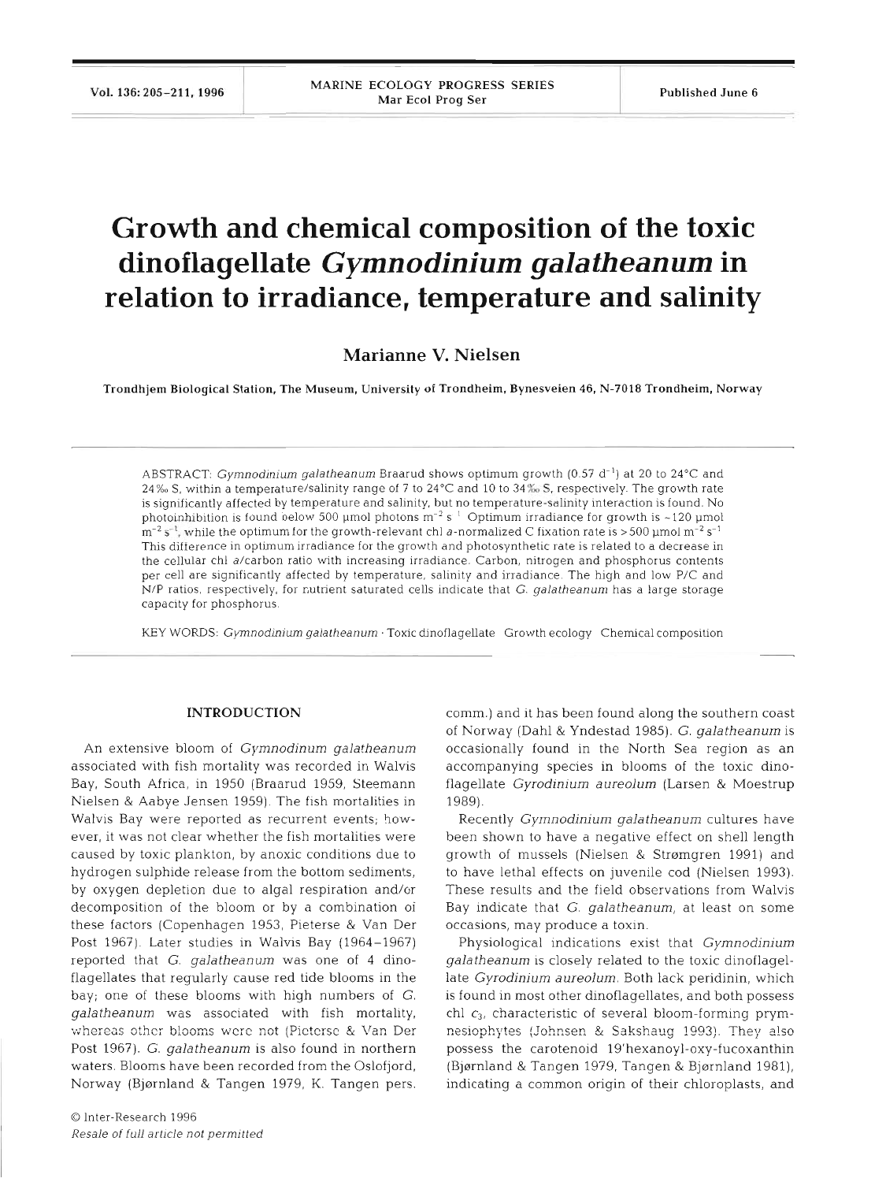# **Growth and chemical composition of the toxic dinoflagellate** *Gymnodinium gala theanum* **in relation to irradiance, temperature and salinity**

**Marianne V. Nielsen** 

Trondhjem Biological Station, The Museum, University of Trondheim, Bynesveien 46, **N-7018** Trondheim, Norway

ABSTRACT: Gymnodinium galatheanum Braarud shows optimum growth (0.57 d<sup>-1</sup>) at 20 to 24°C and **24%0** S, within a temperature/salinity range of 7 to **24OC** and 10 to **34%** S, respectively. The growth rate is significantly affected by temperature and salinity, but no temperature-salinity interaction is found. No photoinhibition is found below 500 µmol photons  $m^{-2} s^{-1}$  Optimum irradiance for growth is ~120 µmol  $m^{-2}$   $s^{-1}$ , while the optimum for the growth-relevant chl a-normalized C fixation rate is  $>500$  µmol  $m^{-2}$   $s^{-1}$ This difference in optimum irradiance for the growth and photosynthetic rate is related to a decrease in the cellular chl a/carbon ratio with increasing irradiance. Carbon, nitrogen and phosphorus contents per cell are significantly affected by temperature, salinity and irradiance. The high and low P/C and N/P ratios, respectively, for nutrient saturated cells indicate that G. galatheanum has a large storage capacity for phosphorus.

KEY WORDS: Gymnodinium galatheanum · Toxic dinoflagellate Growth ecology Chemical composition

### **INTRODUCTION**

An extensive bloom of Gymnodinum galatheanum associated with fish mortality was recorded in Walvis Bay, South Africa, in 1950 (Braarud 1959, Steemann Nielsen & Aabye Jensen 1959). The fish mortalities in Walvis Bay were reported as recurrent events; however, it was not clear whether the fish mortalities were caused by toxic plankton, by anoxic conditions due to hydrogen sulphide release from the bottom sediments, by oxygen depletion due to algal respiration and/or decomposition of the bloom or by a combination of these factors (Copenhagen 1953, Pieterse & Van Der Post 1967). Later studies in Walvis Bay (1964-1967) reported that G. galatheanum was one of 4 dinoflagellates that regularly cause red tide blooms in the bay; one of these blooms with high numbers of G. galatheanum was associated with fish mortality, whereas other blooms were not (Picterse & Van Der Post 1967). G. galatheanum is also found in northern waters. Blooms have been recorded from the Oslofjord, Norway (Bjørnland & Tangen 1979, K. Tangen pers.

comm.) and it has been found along the southern coast of Norway (Dahl & Yndestad 1985). G. galatheanum is occasionally found in the North Sea region as an accompanying species in blooms of the toxic dinoflagellate Gyrodinium aureolum (Larsen & Moestrup 1989).

Recently Gymnodinium galatheanum cultures have been shown to have a negative effect on shell length growth of mussels (Nielsen & Strømgren 1991) and to have lethal effects on juvenile cod (Nielsen 1993). These results and the field observations from Walvis Bay indicate that G. galatheanum, at least on some occasions, may produce a toxin.

Physiological indications exist that Gymnodinium galatheanum is closely related to the toxic dinoflagellate Gyrodinium aureolum. Both lack peridinin, which is found in most other dinoflagellates, and both possess chl  $c_3$ , characteristic of several bloom-forming prymnesiophytes (Johnsen & Sakshaug 1993). They also possess the carotenoid 19'hexanoyl-oxy-fucoxanthin (Bjørnland & Tangen 1979, Tangen & Bjørnland 1981), indicating a common origin of their chloroplasts, and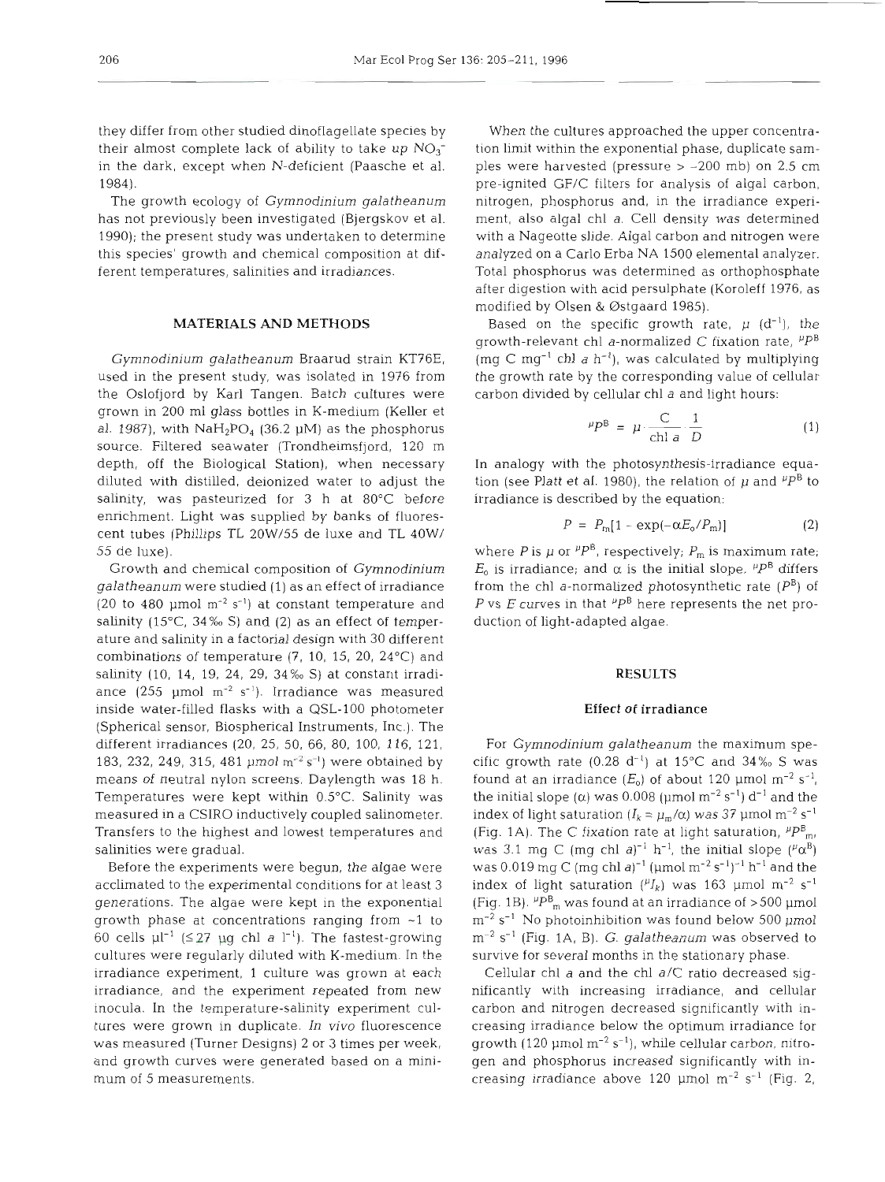they differ from other studied dinoflagellate species by their almost complete lack of ability to take up  $NO<sub>3</sub>$ in the dark, except when N-deficient (Paasche et al. 1984).

The growth ecology of Gymnodinium galatheanum has not previously been investigated (Bjergskov et al. 1990); the present study was undertaken to determine this species' growth and chemical composition at different temperatures, salinities and irradiances.

# **MATERIALS AND METHODS**

Gymnodinium galatheanum Braarud strain KT76E, used in the present study, was isolated in 1976 from the Oslofjord by Karl Tangen. Batch cultures were grown in 200 ml glass bottles in K-medium (Keller et al. 1987), with  $N a H_2PO_4$  (36.2 µM) as the phosphorus source. Filtered seawater (Trondheimsfjord, 120 m depth, off the Biological Station), when necessary diluted with distilled, deionized water to adjust the salinity, was pasteurized for 3 h at 80°C before enrichment. Light was supplied by banks of fluorescent tubes (Phillips TL 20W/55 de luxe and TL 40W/ 55 de luxe).

Growth and chemical composition of Gymnodinium galatheanum were studied (1) as an effect of irradiance (20 to 480 pm01 **m-2 S-')** at constant temperature and salinity (15 $^{\circ}$ C, 34% $^{\circ}$ S) and (2) as an effect of temperature and salinity in a factorial design with 30 different combinations of temperature (7, 10, 15, 20, 24°C) and salinity (10, 14, 19, 24, 29, 34%0 S) at constant irradiance (255 pm01 **m-2 S-').** Irradiance was measured inside water-filled flasks with a QSL-100 photometer (Spherical sensor, Biospherical Instruments, Inc.). The different irradiances (20, 25, 50, 66, 80, 100, 116, 121, 183, 232, 249, 315, 481 pm01 **m-2 S-')** were obtained by means of neutral nylon screens. Daylength was 18 h. Temperatures were kept within 0.5"C. Salinity was measured in a CSIRO inductively coupled salinometer. Transfers to the highest and lowest temperatures and salinities were gradual.

Before the experiments were begun, the algae were acclimated to the experimental conditions for at least 3 generations. The algae were kept in the exponential growth phase at concentrations ranging from -1 to 60 cells  $\mu l^{-1}$  ( $\leq$  27  $\mu$ g chl a l<sup>-1</sup>). The fastest-growing cultures were regularly diluted with K-medium. In the irradiance experiment, 1 culture was grown at each irradiance, and the experiment repeated from new inocula. In the temperature-salinity experiment cultures were grown in duplicate. In vivo fluorescence was measured (Turner Designs) 2 or 3 times per week, and growth curves were generated based on a minimum of 5 measurements.

When the cultures approached the upper concentration limit within the exponential phase, duplicate samples were harvested (pressure  $> -200$  mb) on 2.5 cm pre-ignited GF/C filters for analysis of algal carbon, nitrogen, phosphorus and, in the irradiance experiment, also algal chl a. Cell density was determined with a Nageotte slide. Algal carbon and nitrogen were analyzed on a Carlo Erba NA 1500 elemental analyzer. Total phosphorus was determined as orthophosphate after digestion with acid persulphate (Koroleff 1976, as modified by Olsen & Ostgaard 1985).

Based on the specific growth rate,  $\mu$  (d<sup>-1</sup>), the growth-relevant chl a-normalized C fixation rate,  $P^B$ (mg C mg<sup>-1</sup> chl a h<sup>-1</sup>), was calculated by multiplying the growth rate by the corresponding value of cellular carbon divided by cellular chl a and light hours:

$$
\mu P^{\mathsf{B}} = \mu \cdot \frac{\mathsf{C}}{\mathsf{chl}\;a} \cdot \frac{1}{D} \tag{1}
$$

In analogy with the photosynthesis-irradiance equation (see Platt et al. 1980), the relation of  $\mu$  and  $P^B$  to irradiance is described by the equation:

$$
P = P_{\rm m}[1 - \exp(-\alpha E_{\rm o}/P_{\rm m})] \tag{2}
$$

where P is  $\mu$  or  $^{p}P^{B}$ , respectively;  $P_{m}$  is maximum rate;  $E_0$  is irradiance; and  $\alpha$  is the initial slope.  $P^B$  differs from the chl a-normalized photosynthetic rate  $(P^B)$  of P vs E curves in that  $P^B$  here represents the net production of light-adapted algae.

#### **RESULTS**

## **Effect of irradiance**

For Gymnodinium galatheanum the maximum specific growth rate (0.28  $d^{-1}$ ) at 15°C and 34% S was found at an irradiance  $(E_0)$  of about 120 µmol m<sup>-2</sup> s<sup>-1</sup>, the initial slope ( $\alpha$ ) was 0.008 ( $\mu$ mol  $m^{-2}$  s<sup>-1</sup>) d<sup>-1</sup> and the index of light saturation ( $I_k = \mu_m/\alpha$ ) was 37 µmol m<sup>-2</sup> s<sup>-1</sup> (Fig. 1A). The C fixation rate at light saturation,  ${}^{^{\mu}P^B_{m}}$ , was 3.1 mg C (mg chl a)<sup>-1</sup> h<sup>-1</sup>, the initial slope ( $^{\mu}$  $\alpha^{B}$ ) was 0.019 mg C (mg chl a)<sup>-1</sup> (µmol m<sup>-2</sup> s<sup>-1</sup>)<sup>-1</sup> h<sup>-1</sup> and the index of light saturation  $(^{y}I_{k})$  was 163 µmol m<sup>-2</sup> s<sup>-1</sup> (Fig. 1B).  ${}^{\mu}P_{\text{m}}^{\text{B}}$  was found at an irradiance of >500 µmol  $\rm m^{-2}$  s<sup>-1</sup> No photoinhibition was found below 500 µmol  $m^{-2}$  s<sup>-1</sup> (Fig. 1A, B). *G. galatheanum* was observed to survive for several months in the stationary phase.

Cellular chl a and the chl a/C ratio decreased significantly with increasing irradiance, and cellular carbon and nitrogen decreased significantly with increasing irradiance below the optimum irradiance for growth (120  $\mu$ mol m<sup>-2</sup> s<sup>-1</sup>), while cellular carbon, nitrogen and phosphorus increased significantly with increasing irradiance above 120  $\mu$ mol m<sup>-2</sup> s<sup>-1</sup> (Fig. 2,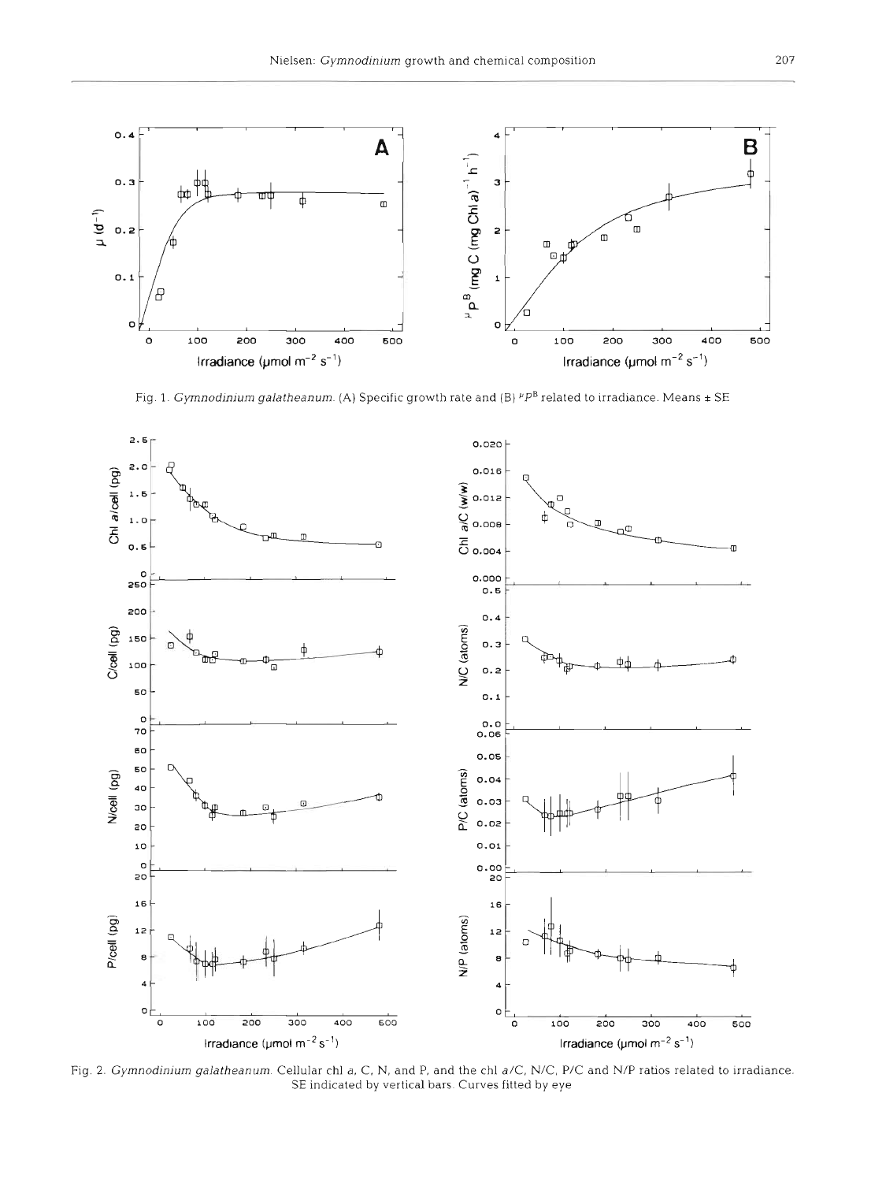

Fig. 1. Gymnodinium galatheanum. (A) Specific growth rate and (B)  $P P^B$  related to irradiance. Means  $\pm$  SE



Fig. 2. Gymnodinium galatheanum. Cellular chl a, C, N, and P, and the chl a/C, N/C, P/C and N/P ratios related to irradiance. SE indicated by vertical bars. Curves fitted by eye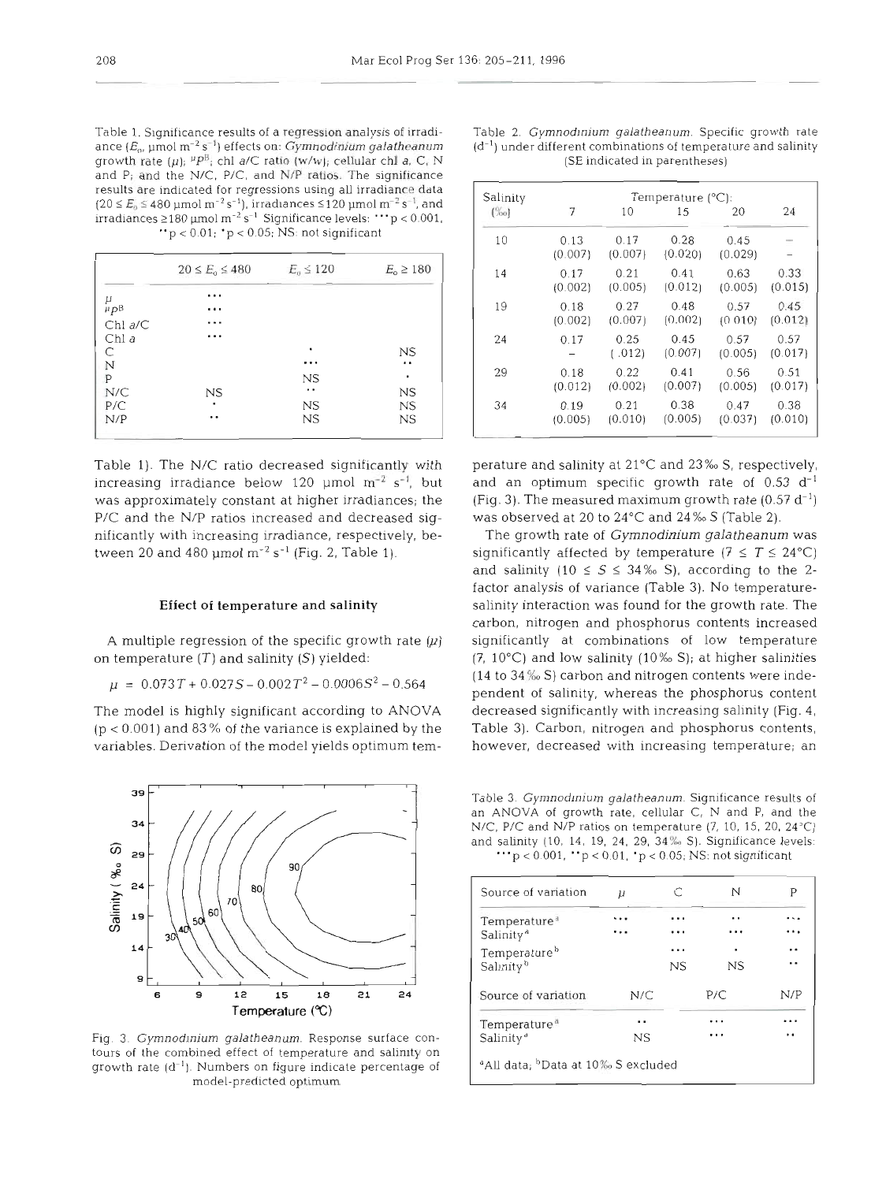growth rate  $(\mu)$ ;  ${}^{\mu}P^{\beta}$ ; chl *a/C* ratio  $(w/w)$ ; cellular chl *a*, *C*, *N* and P; and the N/C. P/C, and **NIP** ratios. The significance results are indicated for regressions using all irradiance data  $(20 \le E_0 \le 480 \text{ µmol m}^{-2} \text{ s}^{-1})$ , irradiances  $\le 120 \text{ µmol m}^{-2} \text{ s}^{-1}$ , and irradiances  $\geq 180$  µmol m<sup>-2</sup> s<sup>-1</sup> Significance levels: " $p < 0.001$ , "p **c** 0.01; 'p **c** 0.05; NS: not significant

|                            | $20 \le E_0 \le 480$ | $E_{\rm o} \leq 120$ | $E_{0} \ge 180$ |
|----------------------------|----------------------|----------------------|-----------------|
|                            | .                    |                      |                 |
| $^{\mu}_{^{\mu}P^{\rm B}}$ | .                    |                      |                 |
| $Chl$ $a/C$                |                      |                      |                 |
| Chl a                      | .                    |                      |                 |
| С                          |                      | ٠                    | NS              |
| N                          |                      |                      | . .             |
| $\mathsf{P}$               |                      | $_{\rm NS}$          | ٠               |
| N/C                        | $_{\rm NS}$          | $\cdot$ .            | <b>NS</b>       |
| P/C                        |                      | NS                   | NS              |
| N/P                        | . .                  | NS                   | NS              |

increasing irradiance below 120 µmol  $m^{-2} s^{-1}$ , but and an optimum specific growth rate of 0.53 d<sup>-1</sup> was approximately constant at higher irradiances; the  $(Fig. 3)$ . The measured maximum growth rate (0.57 d<sup>-1</sup>) P/C and the N/P ratios increased and decreased sig- $was$  observed at 20 to 24 $\degree$ C and 24 $\%$  S (Table 2). nificantly with increasing irradiance, respectively, between 20 and 480  $\mu$ mol m<sup>-2</sup> s<sup>-1</sup> (Fig. 2, Table 1).

# **Effect of** temperature **and** salinity

on temperature **(7)** and salinity (S) yielded:

 $\mu = 0.073T + 0.027S - 0.002T^2 - 0.0006S^2 - 0.564$ 



Fig. 3. *Gymnodinium galatheanum*. Response surface contours of the combined effect of temperature and salinity on growth rate  $(d^{-1})$ . Numbers on figure indicate percentage of model-predicted optimum

| Salinity | Temperature $(^{\circ}C)$ : |                 |                 |                 |                 |
|----------|-----------------------------|-----------------|-----------------|-----------------|-----------------|
| (%o)     | 7                           | 10              | 15              | 20              | 24              |
| 10       | 0.13<br>(0.007)             | 0.17<br>(0.007) | 0.28<br>(0.020) | 0.45<br>(0.029) |                 |
| 14       | 0.17                        | 0.21            | 0.41            | 0.63            | 0.33            |
|          | (0.002)                     | (0.005)         | (0.012)         | (0.005)         | (0.015)         |
| 19       | 0.18                        | 0.27            | 0.48            | 0.57            | 0.45            |
|          | (0.002)                     | (0.007)         | (0.002)         | (0.010)         | (0.012)         |
| 24       | 0.17                        | 0.25<br>(.012)  | 0.45<br>(0.007) | 0.57<br>(0.005) | 0.57<br>(0.017) |
| 29       | 0.18                        | 0.22            | 0.41            | 0.56            | 0.51            |
|          | (0.012)                     | (0.002)         | (0.007)         | (0.005)         | (0.017)         |
| 34       | 0.19                        | 0.21            | 0.38            | 0.47            | 0.38            |
|          | (0.005)                     | (0.010)         | (0.005)         | (0.037)         | (0.010)         |

Table 1). The N/C ratio decreased significantly with perature and salinity at 21 $^{\circ}$ C and 23% S, respectively,

A multiple regression of the specific growth rate  $(\mu)$  significantly at combinations of low temperature The model is highly significant according to ANOVA decreased significantly with increasing salinity (Fig. 4, (p < 0.001) and 83 % of the variance is explained by the variables. Derivation of the model yields optimum tem-The growth rate of *Gymnodinium galatheanum* was significantly affected by temperature ( $7 \leq T \leq 24^{\circ}C$ ) and salinity  $(10 \leq S \leq 34\%)$  S), according to the 2r analysis of variance (Table 3). No temperature-<br>ity interaction was found for the growth rate. The<br>pn, nitrogen and phosphorus contents increased<br>ficantly at combinations of low temperature<br> $9^{\circ}$ C) and low salinity (10

| Source of variation      | $\mu$ |     | N   | Р   |
|--------------------------|-------|-----|-----|-----|
| Temperature <sup>®</sup> |       | .   | . . | .   |
| Salinity <sup>®</sup>    |       | . . | .   | .   |
| Temperature <sup>b</sup> |       | .   | ٠   |     |
| Salinity <sup>b</sup>    |       | NS  | NS  | . . |
| Source of variation      | N/C   |     | P/C | N/P |
| Temperature <sup>®</sup> |       |     |     | .   |
| Salinity <sup>®</sup>    | NS.   |     |     | . . |

Table 1. Significance results of a regression analysis of irradi-<br>ance (E<sub>0</sub>, µmol m<sup>-2</sup> s<sup>-1</sup>) effects on: *Gymnodinium galatheanum* (d<sup>-1</sup>) under different combinations of temperature and salinity (d<sup>-1</sup>) under different combinations of temperature and salinity (SE indicated in parentheses)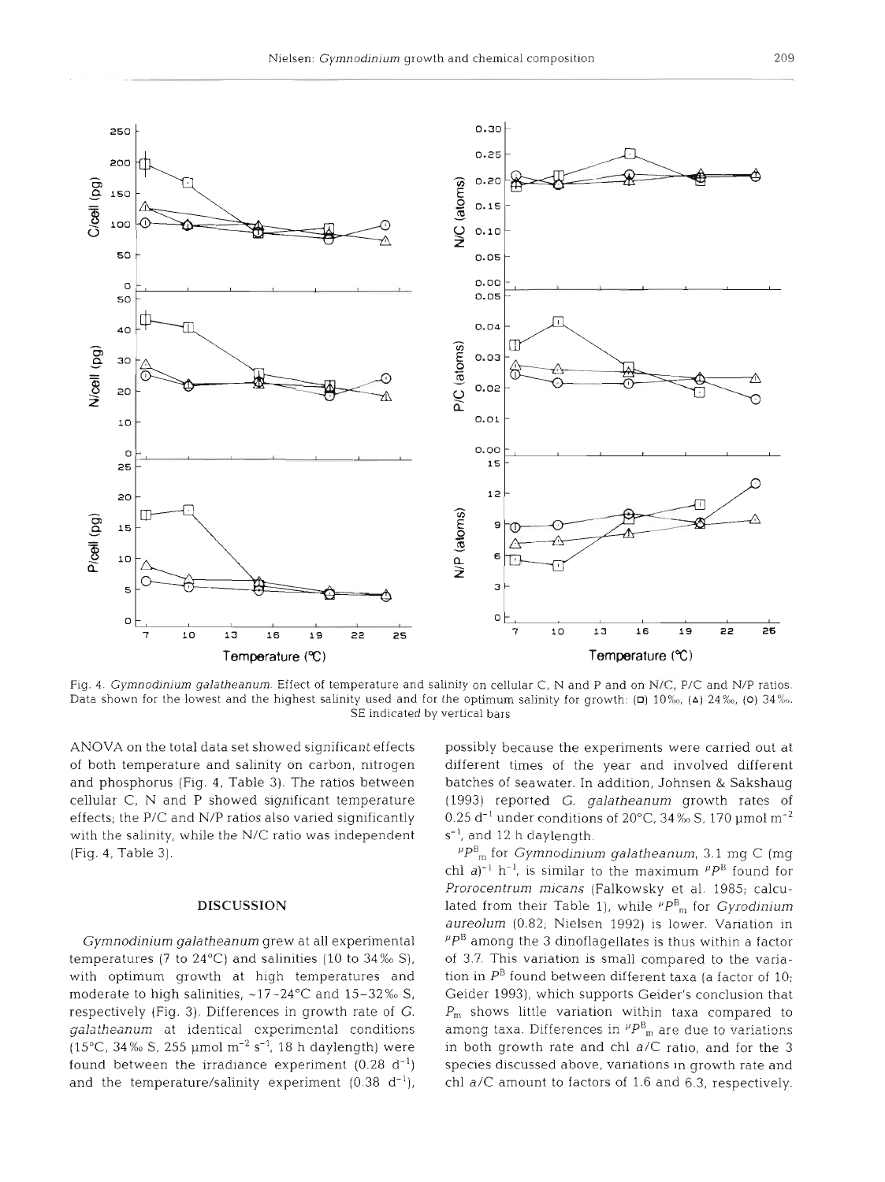

Fig. *4. Gymnodjnjum galatheanum.* Effect of temperature and salinity on cellular C, N and P and on N/C, P/C and N/P ratios. Data shown for the lowest and the highest salinity used and for the optimum salinity for growth:  $(D)$  10 $\%$ <sub>0</sub>, (A) 24 $\%$ <sub>0</sub>, (O) 34 $\%$ <sub>0</sub> SE indicated by vertical bars

ANOVA on the total data set showed significant effects of both temperature and salinity on carbon, nitrogen and phosphorus (Fig. 4, Table 3). The ratios between cellular C, N and P showed significant temperature effects; the P/C and N/P ratios also varied significantly with the salinity, while the N/C ratio was independent (Fig. **4.** Table 3).

#### **DISCUSSION**

Gymnodinium galatheanum grew at all experimental temperatures (7 to 24 $^{\circ}$ C) and salinities (10 to 34‰ S), with optimum growth at high temperatures and moderate to high salinities,  $~17-24\degree$ C and  $15-32\%$  S, respectively (Fig. 3). Differences in growth rate of G. galatheanum ot identical cxpcrimcntal conditions (15°C, 34% S, 255 µmol  $m^{-2}$  s<sup>-1</sup>, 18 h daylength) were found between the irradiance experiment  $(0.28 \text{ d}^{-1})$ and the temperature/salinity experiment  $(0.38 \text{ d}^{-1})$ ,

possibly because the experiments were carried out at different times of the year and involved different batches of seawater. In addition, Johnsen & Sakshaug (1993) reported G. galatheanum growth rates of 0.25 d<sup>-1</sup> under conditions of 20 $^{\circ}$ C, 34 ‰ S, 170 µmol m<sup>-2</sup>  $s^{-1}$ , and 12 h daylength.

 $P_{\text{cm}}^{\text{B}}$  for *Gymnodinium galatheanum*, 3.1 mg C (mg) chl  $a^{j-1}$  h<sup>-1</sup>, is similar to the maximum  $^{µ}P^B$  found for Prorocentrum micans (Falkowsky et al. 1985; calculated from their Table 1), while  $^{p}P_{m}^{\textrm{B}}$  for *Gyrodinium* aureolum (0.82; Nielsen 1992) is lower. Variation in  $P^{\mu}P^{\beta}$  among the 3 dinoflagellates is thus within a factor of 3.7. This variation is small compared to the variation in  $P^B$  found between different taxa (a factor of 10; Geider 1993), which supports Geider's conclusion that  $P_m$  shows little variation within taxa compared to among taxa. Differences in  ${}^{\mu}P^{\text{B}}{}_{\text{m}}$  are due to variations in both growth rate and chl a/C ratio, and for the 3 species discussed above, variations in growth rate and chl a/C amount to factors of 1.6 and 6.3, respectively.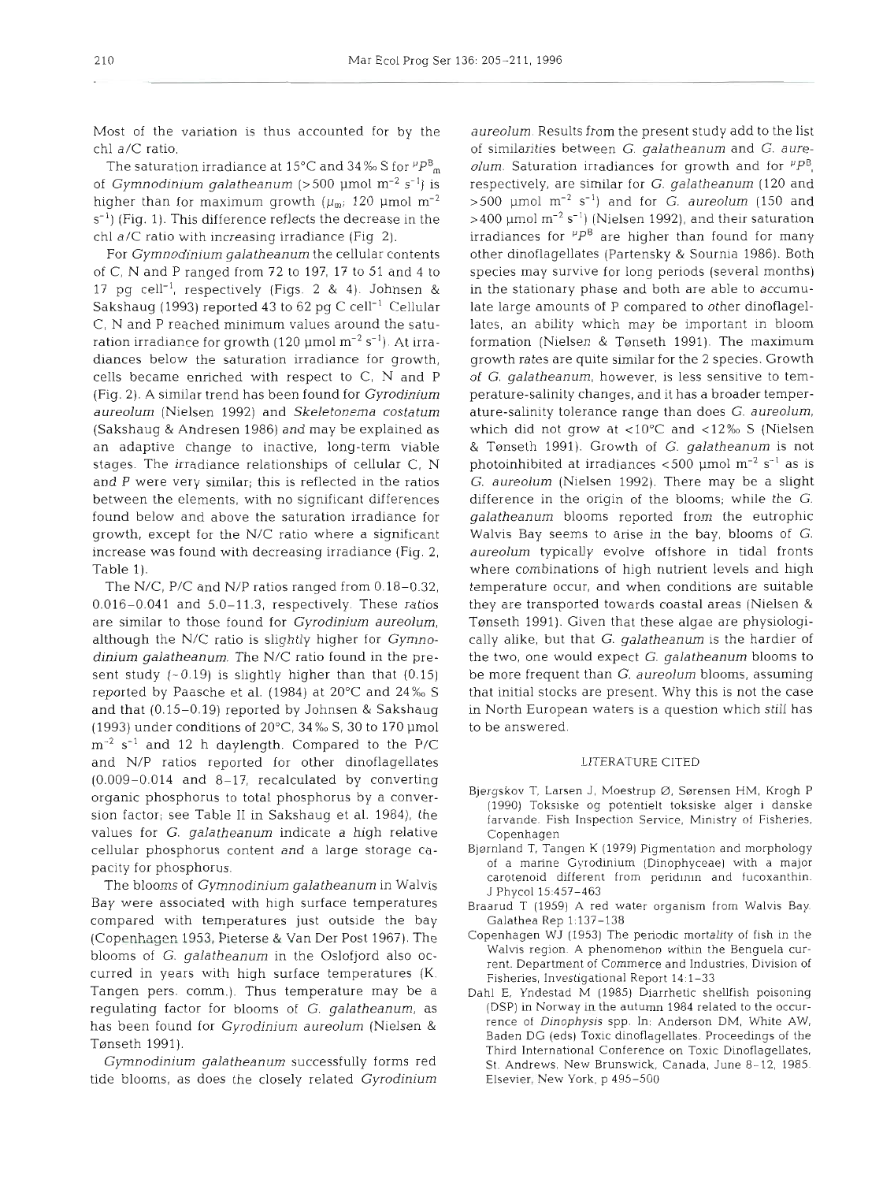Most of the variation is thus accounted for by the chl a/C ratio.

The saturation irradiance at 15°C and 34% S for  $^{p}P_{m}^{B}$ of *Gymnodinium galatheanum* (>500 µmol m<sup>-2</sup> s<sup>-1</sup>) is higher than for maximum growth ( $\mu_{m}$ ; 120 µmol m<sup>-2</sup>  $s^{-1}$ ) (Fig. 1). This difference reflects the decrease in the chl a/C ratio with increasing irradiance (Fig 2).

For *Gymnodinium galatheanum* the cellular contents of C, N and P ranged from 72 to 197, 17 to 51 and 4 to 17 pg cell-', respectively (Figs. 2 & 4). Johnsen & Sakshaug (1993) reported **43** to 62 pg C cell-' Cellular C, N and P reached minimum values around the saturation irradiance for growth (120  $\mu$ mol m<sup>-2</sup> s<sup>-1</sup>). At irradiances below the saturation irradiance for growth, cells became enriched with respect to C, N and P (Fig. 2). A similar trend has been found for *Gyrodinium aureolum* (Nielsen 1992) and *Skeletonema costatum*  (Sakshaug & Andresen 1986) and may be explained as an adaptive change to inactive, long-term viable stages. The irradiance relationships of cellular C, N and P were very similar; this is reflected in the ratios between the elements, with no significant differences found below and above the saturation irradiance for growth, except for the N/C ratio where a significant increase was found with decreasing irradiance (Fig. 2, Table 1).

The N/C, P/C and N/P ratios ranged from 0.18-0.32, 0.016-0.041 and 5.0-11.3, respectively. These ratios are similar to those found for *Gyrodinium aureolum,*  although the N/C ratio is slightly higher for *Gymnodinium galatheanum.* The N/C ratio found in the present study  $(-0.19)$  is slightly higher than that  $(0.15)$ reported by Paasche et al. (1984) at 20°C and 24%0 S and that (0.15-0.19) reported by Johnsen & Sakshaug (1993) under conditions of 20°C, 34‰ S, 30 to 170 µmol  $\text{m}^{-2}$  s<sup>-1</sup> and 12 h daylength. Compared to the P/C and N/P ratios reported for other dinoflagellates (0.009-0.014 and 8-17, recalculated by converting organic phosphorus to total phosphorus by a conversion factor; see Table I1 in Sakshaug et al. 1984), the values for *G. galatheanum* indicate a high relative cellular phosphorus content and *a* large storage capacity for phosphorus.

The blooms of *Gymnodinium galatheanum* in Walvis Bay were associated with high surface temperatures compared with temperatures just outside the bay (Copenhagen 1953, Pieterse & Van Der Post 1967). The blooms of *G. galatheanurn* in the Oslofjord also occurred in years with high surface temperatures (K. Tangen pers. comm.). Thus temperature may be a regulating factor for blooms of *G. galatheanum,* as has been found for *Gyrodinium aureolum* (Nielsen & Tønseth 1991).

*Gymnodiniurn galatheanum* successfully forms red tide blooms, as does the closely related *Gyrodinium* 

*aureolum.* Results from the present study add to the list of similarities between *G. galatheanum* and *G. aureolum.* Saturation irradiances for growth and for  $P^B$ , respectively, are similar for *G. galatheanum* (120 and  $>500$  µmol m<sup>-2</sup> s<sup>-1</sup>) and for *G. aureolum* (150 and  $>400$  µmol m<sup>-2</sup> s<sup>-1</sup>) (Nielsen 1992), and their saturation irradiances for  $P^B$  are higher than found for many other dinoflagellates (Partensky & Sournia 1986). Both species may survive for long periods (several months) in the stationary phase and both are able to accumulate large amounts of P compared to other dinoflagellates, an ability which may be important in bloom formation (Nielsen & Tønseth 1991). The maximum growth rates are quite similar for the 2 species. Growth of G. *galatheanum,* however, is less sensitive to temperature-salinity changes, and it has a broader temperature-salinity tolerance range than does *G. aureolum,*  which did not grow at <10 $^{\circ}$ C and <12% S (Nielsen & Tønseth 1991). Growth of *G. galatheanum* is not photoinhibited at irradiances  $<$  500 µmol m<sup>-2</sup> s<sup>-1</sup> as is *G. aureolum* (Nielsen 1992). There may be a slight difference in the origin of the blooms; while the G. *galatheanum* blooms reported from the eutrophic Walvis Bay seems to arise in the bay, blooms of *G. aureolum* typically evolve offshore in tidal fronts where combinations of high nutrient levels and high temperature occur, and when conditions are suitable they are transported towards coastal areas (Nielsen & Tønseth 1991). Given that these algae are physiologically alike, but that G. *galatheanurn* is the hardier of the two, one would expect G. *galatheanum* blooms to be more frequent than G. *aureolum* blooms, assuming that initial stocks are present. Why this is not the case in North European waters is a question which still has to be answered.

# LITERATURE CITED

- Bjergskov T, Larsen J, Moestrup Ø, Sørensen HM, Krogh P (1990) Toksiske og potentielt toksiske alger i danske farvande. Fish Inspection Service, Ministry of Fisheries, Copenhagen
- Bjørnland T, Tangen K (1979) Pigmentation and morphology of a marine Gyrodlnium (Dinophyceae) with a major carotenoid different from peridinin and fucoxanthin. J Phycol 15:457-463
- Braarud T (1959) **A** red water organism from Walvis Bay. Galathea Rep 1:137-138
- Copenhagen WJ (1953) The periodic mortality of fish in the Walvis region. A phenomenon within the Benguela current. Department of Commerce and Industries, Division of Fisheries, Investigational Report 14:l-33
- Dahl E, Yndestad M (1985) Diarrhetic shellfish poisoning (DSP) in Norway in the autumn 1984 related to the occurrence of *Dinophysis* spp. In: Anderson DM, White AW, Raden DG (eds) Toxic dinoflagellates. Proceedings of the Third International Conference on Toxic Dinoflagellates, St. Andrews, New Brunswick, Canada, June 8-12, 1985. Elsevier, New York, p 495-500